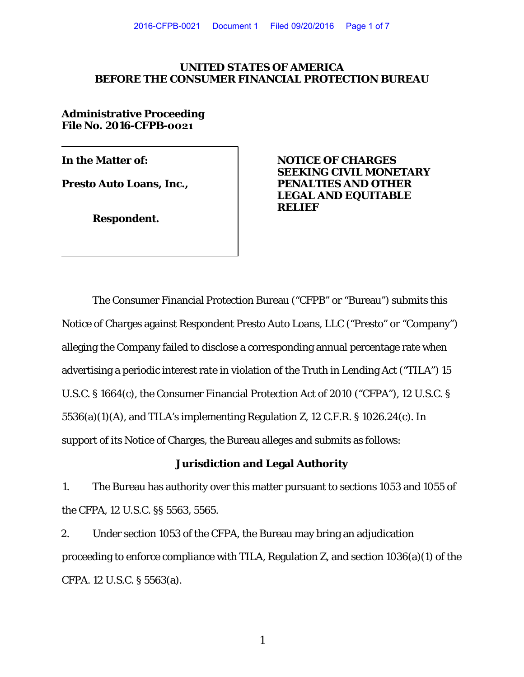#### **UNITED STATES OF AMERICA BEFORE THE CONSUMER FINANCIAL PROTECTION BUREAU**

**Administrative Proceeding File No. 2016-CFPB-0021**

**Respondent.** 

**In the Matter of: NOTICE OF CHARGES SEEKING CIVIL MONETARY Presto Auto Loans, Inc.,**  PENALTIES AND OTHER **LEGAL AND EQUITABLE RELIEF**

The Consumer Financial Protection Bureau ("CFPB" or "Bureau") submits this Notice of Charges against Respondent Presto Auto Loans, LLC ("Presto" or "Company") alleging the Company failed to disclose a corresponding annual percentage rate when advertising a periodic interest rate in violation of the Truth in Lending Act ("TILA") 15 U.S.C. § 1664(c), the Consumer Financial Protection Act of 2010 ("CFPA"), 12 U.S.C. § 5536(a)(1)(A), and TILA's implementing Regulation Z, 12 C.F.R. § 1026.24(c). In support of its Notice of Charges, the Bureau alleges and submits as follows:

### **Jurisdiction and Legal Authority**

1. The Bureau has authority over this matter pursuant to sections 1053 and 1055 of the CFPA, 12 U.S.C. §§ 5563, 5565.

2. Under section 1053 of the CFPA, the Bureau may bring an adjudication proceeding to enforce compliance with TILA, Regulation Z, and section 1036(a)(1) of the CFPA. 12 U.S.C. § 5563(a).

1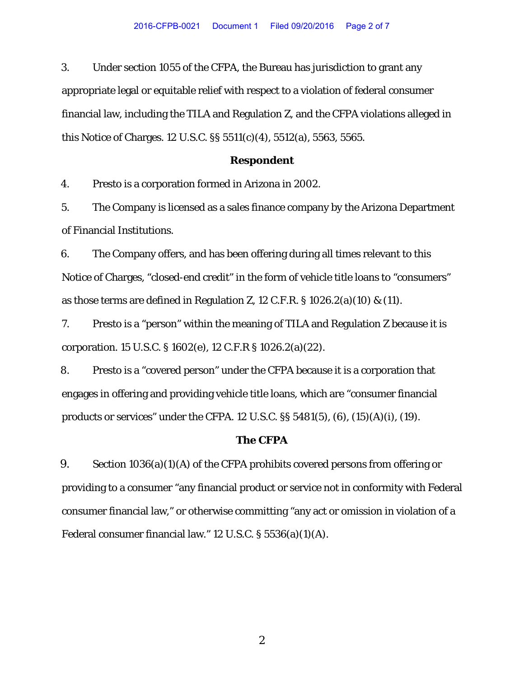3. Under section 1055 of the CFPA, the Bureau has jurisdiction to grant any appropriate legal or equitable relief with respect to a violation of federal consumer financial law, including the TILA and Regulation Z, and the CFPA violations alleged in this Notice of Charges. 12 U.S.C. §§ 5511(c)(4), 5512(a), 5563, 5565.

#### **Respondent**

4. Presto is a corporation formed in Arizona in 2002.

5. The Company is licensed as a sales finance company by the Arizona Department of Financial Institutions.

6. The Company offers, and has been offering during all times relevant to this Notice of Charges, "closed-end credit" in the form of vehicle title loans to "consumers" as those terms are defined in Regulation Z, 12 C.F.R.  $\S$  1026.2(a)(10) & (11).

7. Presto is a "person" within the meaning of TILA and Regulation Z because it is corporation. 15 U.S.C. § 1602(e), 12 C.F.R § 1026.2(a)(22).

8. Presto is a "covered person" under the CFPA because it is a corporation that engages in offering and providing vehicle title loans, which are "consumer financial products or services" under the CFPA. 12 U.S.C. §§ 5481(5), (6), (15)(A)(i), (19).

#### **The CFPA**

9. Section 1036(a)(1)(A) of the CFPA prohibits covered persons from offering or providing to a consumer "any financial product or service not in conformity with Federal consumer financial law," or otherwise committing "any act or omission in violation of a Federal consumer financial law." 12 U.S.C. § 5536(a)(1)(A).

2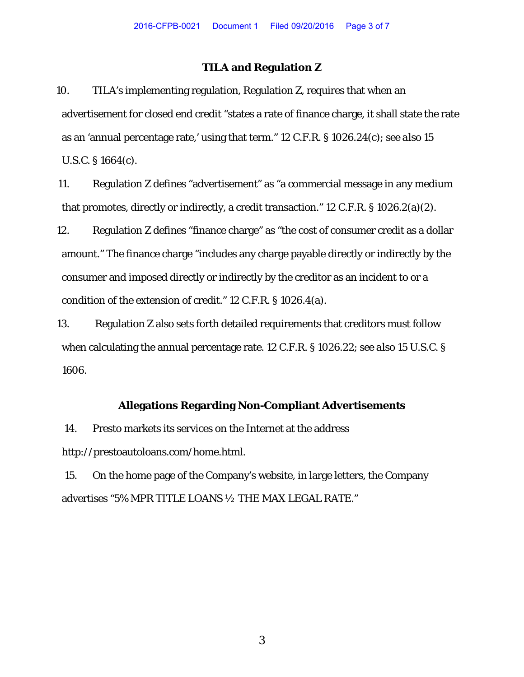### **TILA and Regulation Z**

10. TILA's implementing regulation, Regulation Z, requires that when an advertisement for closed end credit "states a rate of finance charge, it shall state the rate as an 'annual percentage rate,' using that term." 12 C.F.R. § 1026.24(c); *see also* 15 U.S.C. § 1664(c).

11. Regulation Z defines "advertisement" as "a commercial message in any medium that promotes, directly or indirectly, a credit transaction." 12 C.F.R. § 1026.2(a)(2).

12. Regulation Z defines "finance charge" as "the cost of consumer credit as a dollar amount." The finance charge "includes any charge payable directly or indirectly by the consumer and imposed directly or indirectly by the creditor as an incident to or a condition of the extension of credit." 12 C.F.R. § 1026.4(a).

13. Regulation Z also sets forth detailed requirements that creditors must follow when calculating the annual percentage rate. 12 C.F.R. § 1026.22; *see also* 15 U.S.C. § 1606.

## **Allegations Regarding Non-Compliant Advertisements**

14. Presto markets its services on the Internet at the address http://prestoautoloans.com/home.html.

15. On the home page of the Company's website, in large letters, the Company advertises "5% MPR TITLE LOANS ½ THE MAX LEGAL RATE."

3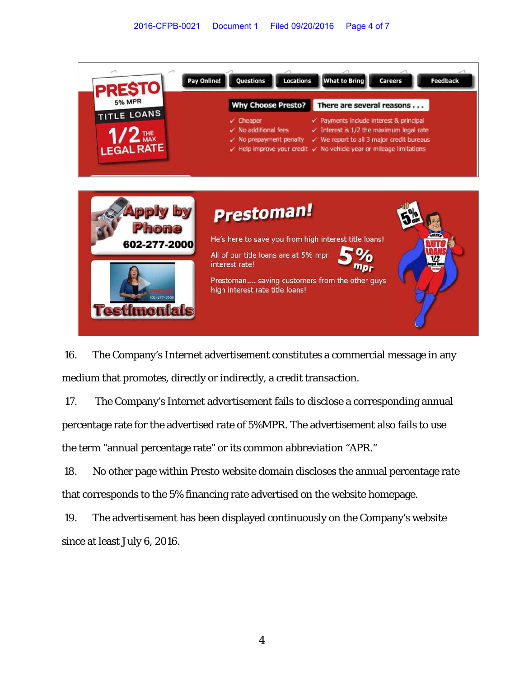

16. The Company's Internet advertisement constitutes a commercial message in any medium that promotes, directly or indirectly, a credit transaction.

17. The Company's Internet advertisement fails to disclose a corresponding annual percentage rate for the advertised rate of 5%MPR. The advertisement also fails to use the term "annual percentage rate" or its common abbreviation "APR."

18. No other page within Presto website domain discloses the annual percentage rate that corresponds to the 5% financing rate advertised on the website homepage.

19. The advertisement has been displayed continuously on the Company's website since at least July 6, 2016.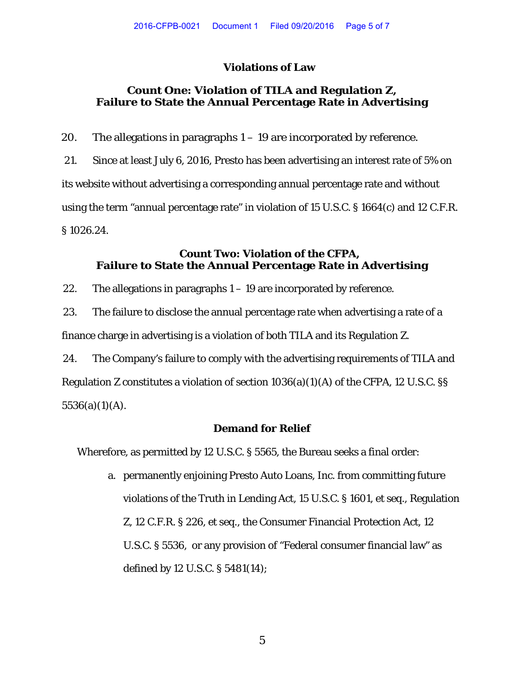# **Violations of Law**

# **Count One: Violation of TILA and Regulation Z, Failure to State the Annual Percentage Rate in Advertising**

20. The allegations in paragraphs  $1 - 19$  are incorporated by reference. 21. Since at least July 6, 2016, Presto has been advertising an interest rate of 5% on its website without advertising a corresponding annual percentage rate and without using the term "annual percentage rate" in violation of 15 U.S.C. § 1664(c) and 12 C.F.R. § 1026.24.

## **Count Two: Violation of the CFPA, Failure to State the Annual Percentage Rate in Advertising**

22. The allegations in paragraphs  $1 - 19$  are incorporated by reference.

23. The failure to disclose the annual percentage rate when advertising a rate of a finance charge in advertising is a violation of both TILA and its Regulation Z.

24. The Company's failure to comply with the advertising requirements of TILA and Regulation Z constitutes a violation of section 1036(a)(1)(A) of the CFPA, 12 U.S.C. §§  $5536(a)(1)(A)$ .

## **Demand for Relief**

Wherefore, as permitted by 12 U.S.C. § 5565, the Bureau seeks a final order:

a. permanently enjoining Presto Auto Loans, Inc. from committing future violations of the Truth in Lending Act, 15 U.S.C. § 1601, et seq., Regulation Z, 12 C.F.R. § 226, et seq., the Consumer Financial Protection Act, 12 U.S.C. § 5536, or any provision of "Federal consumer financial law" as defined by 12 U.S.C. § 5481(14);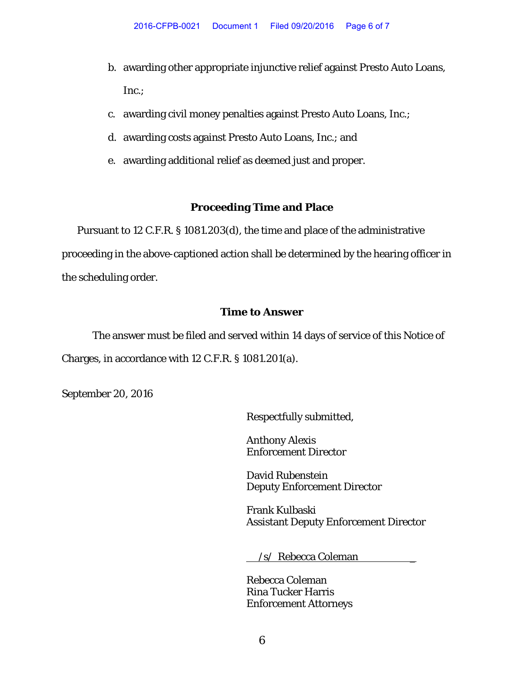- b. awarding other appropriate injunctive relief against Presto Auto Loans, Inc.;
- c. awarding civil money penalties against Presto Auto Loans, Inc.;
- d. awarding costs against Presto Auto Loans, Inc.; and
- e. awarding additional relief as deemed just and proper.

## **Proceeding Time and Place**

Pursuant to 12 C.F.R. § 1081.203(d), the time and place of the administrative proceeding in the above-captioned action shall be determined by the hearing officer in the scheduling order.

## **Time to Answer**

The answer must be filed and served within 14 days of service of this Notice of Charges, in accordance with 12 C.F.R. § 1081.201(a).

September 20, 2016

Respectfully submitted,

Anthony Alexis Enforcement Director

David Rubenstein Deputy Enforcement Director

Frank Kulbaski Assistant Deputy Enforcement Director

/s/ Rebecca Coleman \_

Rebecca Coleman Rina Tucker Harris Enforcement Attorneys